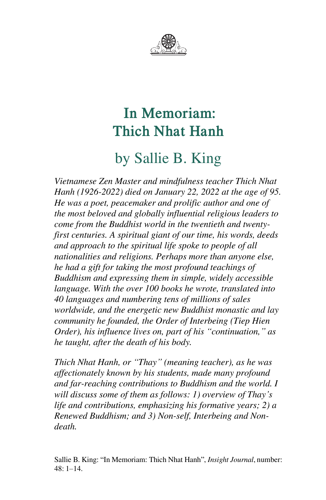

# by Sallie B. King

*Vietnamese Zen Master and mindfulness teacher Thich Nhat Hanh (1926-2022) died on January 22, 2022 at the age of 95. He was a poet, peacemaker and prolific author and one of the most beloved and globally influential religious leaders to come from the Buddhist world in the twentieth and twentyfirst centuries. A spiritual giant of our time, his words, deeds and approach to the spiritual life spoke to people of all nationalities and religions. Perhaps more than anyone else, he had a gift for taking the most profound teachings of Buddhism and expressing them in simple, widely accessible language. With the over 100 books he wrote, translated into 40 languages and numbering tens of millions of sales worldwide, and the energetic new Buddhist monastic and lay community he founded, the Order of Interbeing (Tiep Hien Order), his influence lives on, part of his "continuation," as he taught, after the death of his body.*

*Thich Nhat Hanh, or "Thay" (meaning teacher), as he was affectionately known by his students, made many profound and far-reaching contributions to Buddhism and the world. I will discuss some of them as follows: 1) overview of Thay's life and contributions, emphasizing his formative years; 2) a Renewed Buddhism; and 3) Non-self, Interbeing and Nondeath.*

Sallie B. King: "In Memoriam: Thich Nhat Hanh", *Insight Journal*, number: 48: 1–14.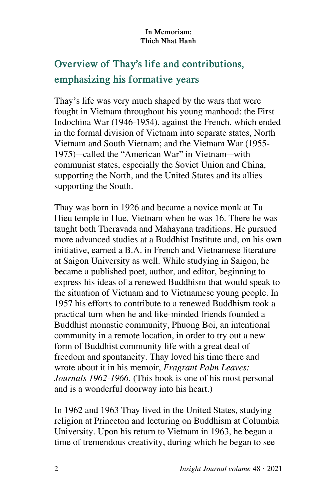## **Overview of Thay's life and contributions, emphasizing his formative years**

Thay's life was very much shaped by the wars that were fought in Vietnam throughout his young manhood: the First Indochina War (1946-1954), against the French, which ended in the formal division of Vietnam into separate states, North Vietnam and South Vietnam; and the Vietnam War (1955- 1975)—called the "American War" in Vietnam—with communist states, especially the Soviet Union and China, supporting the North, and the United States and its allies supporting the South.

Thay was born in 1926 and became a novice monk at Tu Hieu temple in Hue, Vietnam when he was 16. There he was taught both Theravada and Mahayana traditions. He pursued more advanced studies at a Buddhist Institute and, on his own initiative, earned a B.A. in French and Vietnamese literature at Saigon University as well. While studying in Saigon, he became a published poet, author, and editor, beginning to express his ideas of a renewed Buddhism that would speak to the situation of Vietnam and to Vietnamese young people. In 1957 his efforts to contribute to a renewed Buddhism took a practical turn when he and like-minded friends founded a Buddhist monastic community, Phuong Boi, an intentional community in a remote location, in order to try out a new form of Buddhist community life with a great deal of freedom and spontaneity. Thay loved his time there and wrote about it in his memoir, *Fragrant Palm Leaves: Journals 1962-1966*. (This book is one of his most personal and is a wonderful doorway into his heart.)

In 1962 and 1963 Thay lived in the United States, studying religion at Princeton and lecturing on Buddhism at Columbia University. Upon his return to Vietnam in 1963, he began a time of tremendous creativity, during which he began to see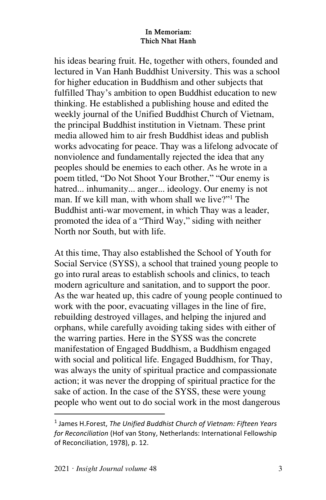his ideas bearing fruit. He, together with others, founded and lectured in Van Hanh Buddhist University. This was a school for higher education in Buddhism and other subjects that fulfilled Thay's ambition to open Buddhist education to new thinking. He established a publishing house and edited the weekly journal of the Unified Buddhist Church of Vietnam, the principal Buddhist institution in Vietnam. These print media allowed him to air fresh Buddhist ideas and publish works advocating for peace. Thay was a lifelong advocate of nonviolence and fundamentally rejected the idea that any peoples should be enemies to each other. As he wrote in a poem titled, "Do Not Shoot Your Brother," "Our enemy is hatred... inhumanity... anger... ideology. Our enemy is not man. If we kill man, with whom shall we live?"<sup>1</sup> The Buddhist anti-war movement, in which Thay was a leader, promoted the idea of a "Third Way," siding with neither North nor South, but with life.

At this time, Thay also established the School of Youth for Social Service (SYSS), a school that trained young people to go into rural areas to establish schools and clinics, to teach modern agriculture and sanitation, and to support the poor. As the war heated up, this cadre of young people continued to work with the poor, evacuating villages in the line of fire, rebuilding destroyed villages, and helping the injured and orphans, while carefully avoiding taking sides with either of the warring parties. Here in the SYSS was the concrete manifestation of Engaged Buddhism, a Buddhism engaged with social and political life. Engaged Buddhism, for Thay, was always the unity of spiritual practice and compassionate action; it was never the dropping of spiritual practice for the sake of action. In the case of the SYSS, these were young people who went out to do social work in the most dangerous

<sup>1</sup> James H.Forest, *The Unified Buddhist Church of Vietnam: Fifteen Years for Reconciliation* (Hof van Stony, Netherlands: International Fellowship of Reconciliation, 1978), p. 12.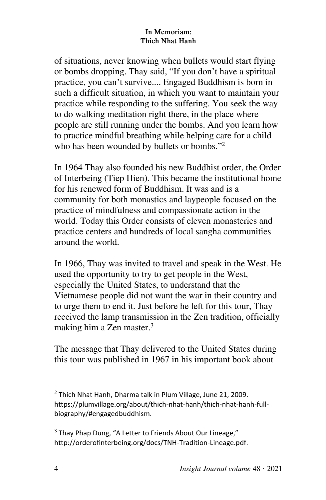of situations, never knowing when bullets would start flying or bombs dropping. Thay said, "If you don't have a spiritual practice, you can't survive.... Engaged Buddhism is born in such a difficult situation, in which you want to maintain your practice while responding to the suffering. You seek the way to do walking meditation right there, in the place where people are still running under the bombs. And you learn how to practice mindful breathing while helping care for a child who has been wounded by bullets or bombs."<sup>2</sup>

In 1964 Thay also founded his new Buddhist order, the Order of Interbeing (Tiep Hien). This became the institutional home for his renewed form of Buddhism. It was and is a community for both monastics and laypeople focused on the practice of mindfulness and compassionate action in the world. Today this Order consists of eleven monasteries and practice centers and hundreds of local sangha communities around the world.

In 1966, Thay was invited to travel and speak in the West. He used the opportunity to try to get people in the West, especially the United States, to understand that the Vietnamese people did not want the war in their country and to urge them to end it. Just before he left for this tour, Thay received the lamp transmission in the Zen tradition, officially making him a Zen master.<sup>3</sup>

The message that Thay delivered to the United States during this tour was published in 1967 in his important book about

<sup>&</sup>lt;sup>2</sup> Thich Nhat Hanh, Dharma talk in Plum Village, June 21, 2009. https://plumvillage.org/about/thich-nhat-hanh/thich-nhat-hanh-fullbiography/#engagedbuddhism.

<sup>&</sup>lt;sup>3</sup> Thay Phap Dung, "A Letter to Friends About Our Lineage," http://orderofinterbeing.org/docs/TNH-Tradition-Lineage.pdf.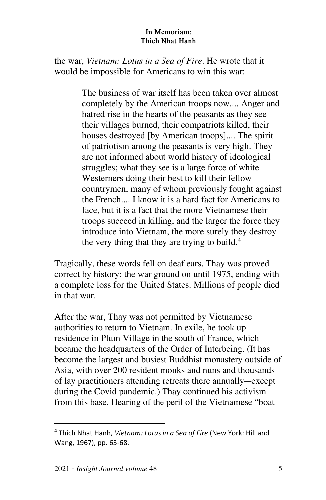the war, *Vietnam: Lotus in a Sea of Fire*. He wrote that it would be impossible for Americans to win this war:

> The business of war itself has been taken over almost completely by the American troops now.... Anger and hatred rise in the hearts of the peasants as they see their villages burned, their compatriots killed, their houses destroyed [by American troops].... The spirit of patriotism among the peasants is very high. They are not informed about world history of ideological struggles; what they see is a large force of white Westerners doing their best to kill their fellow countrymen, many of whom previously fought against the French.... I know it is a hard fact for Americans to face, but it is a fact that the more Vietnamese their troops succeed in killing, and the larger the force they introduce into Vietnam, the more surely they destroy the very thing that they are trying to build.<sup>4</sup>

Tragically, these words fell on deaf ears. Thay was proved correct by history; the war ground on until 1975, ending with a complete loss for the United States. Millions of people died in that war.

After the war, Thay was not permitted by Vietnamese authorities to return to Vietnam. In exile, he took up residence in Plum Village in the south of France, which became the headquarters of the Order of Interbeing. (It has become the largest and busiest Buddhist monastery outside of Asia, with over 200 resident monks and nuns and thousands of lay practitioners attending retreats there annually—except during the Covid pandemic.) Thay continued his activism from this base. Hearing of the peril of the Vietnamese "boat

 $\overline{\phantom{a}}$ 

<sup>4</sup> Thich Nhat Hanh, *Vietnam: Lotus in a Sea of Fire* (New York: Hill and Wang, 1967), pp. 63-68.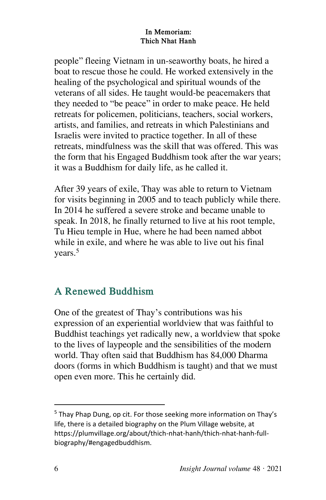people" fleeing Vietnam in un-seaworthy boats, he hired a boat to rescue those he could. He worked extensively in the healing of the psychological and spiritual wounds of the veterans of all sides. He taught would-be peacemakers that they needed to "be peace" in order to make peace. He held retreats for policemen, politicians, teachers, social workers, artists, and families, and retreats in which Palestinians and Israelis were invited to practice together. In all of these retreats, mindfulness was the skill that was offered. This was the form that his Engaged Buddhism took after the war years; it was a Buddhism for daily life, as he called it.

After 39 years of exile, Thay was able to return to Vietnam for visits beginning in 2005 and to teach publicly while there. In 2014 he suffered a severe stroke and became unable to speak. In 2018, he finally returned to live at his root temple, Tu Hieu temple in Hue, where he had been named abbot while in exile, and where he was able to live out his final years.<sup>5</sup>

### **A Renewed Buddhism**

One of the greatest of Thay's contributions was his expression of an experiential worldview that was faithful to Buddhist teachings yet radically new, a worldview that spoke to the lives of laypeople and the sensibilities of the modern world. Thay often said that Buddhism has 84,000 Dharma doors (forms in which Buddhism is taught) and that we must open even more. This he certainly did.

<sup>&</sup>lt;sup>5</sup> Thay Phap Dung, op cit. For those seeking more information on Thay's life, there is a detailed biography on the Plum Village website, at https://plumvillage.org/about/thich-nhat-hanh/thich-nhat-hanh-fullbiography/#engagedbuddhism.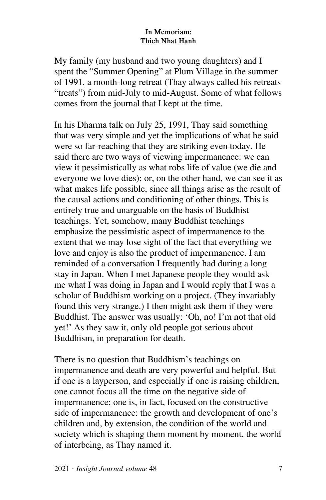My family (my husband and two young daughters) and I spent the "Summer Opening" at Plum Village in the summer of 1991, a month-long retreat (Thay always called his retreats "treats") from mid-July to mid-August. Some of what follows comes from the journal that I kept at the time.

In his Dharma talk on July 25, 1991, Thay said something that was very simple and yet the implications of what he said were so far-reaching that they are striking even today. He said there are two ways of viewing impermanence: we can view it pessimistically as what robs life of value (we die and everyone we love dies); or, on the other hand, we can see it as what makes life possible, since all things arise as the result of the causal actions and conditioning of other things. This is entirely true and unarguable on the basis of Buddhist teachings. Yet, somehow, many Buddhist teachings emphasize the pessimistic aspect of impermanence to the extent that we may lose sight of the fact that everything we love and enjoy is also the product of impermanence. I am reminded of a conversation I frequently had during a long stay in Japan. When I met Japanese people they would ask me what I was doing in Japan and I would reply that I was a scholar of Buddhism working on a project. (They invariably found this very strange.) I then might ask them if they were Buddhist. The answer was usually: 'Oh, no! I'm not that old yet!' As they saw it, only old people got serious about Buddhism, in preparation for death.

There is no question that Buddhism's teachings on impermanence and death are very powerful and helpful. But if one is a layperson, and especially if one is raising children, one cannot focus all the time on the negative side of impermanence; one is, in fact, focused on the constructive side of impermanence: the growth and development of one's children and, by extension, the condition of the world and society which is shaping them moment by moment, the world of interbeing, as Thay named it.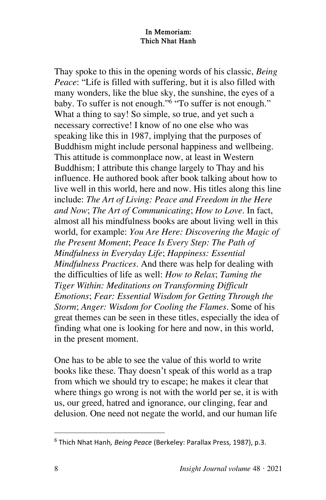Thay spoke to this in the opening words of his classic, *Being Peace*: "Life is filled with suffering, but it is also filled with many wonders, like the blue sky, the sunshine, the eyes of a baby. To suffer is not enough."<sup>6</sup> "To suffer is not enough." What a thing to say! So simple, so true, and yet such a necessary corrective! I know of no one else who was speaking like this in 1987, implying that the purposes of Buddhism might include personal happiness and wellbeing. This attitude is commonplace now, at least in Western Buddhism; I attribute this change largely to Thay and his influence. He authored book after book talking about how to live well in this world, here and now. His titles along this line include: *The Art of Living: Peace and Freedom in the Here and Now*; *The Art of Communicating*; *How to Love*. In fact, almost all his mindfulness books are about living well in this world, for example: *You Are Here: Discovering the Magic of the Present Moment*; *Peace Is Every Step: The Path of Mindfulness in Everyday Life*; *Happiness: Essential Mindfulness Practices*. And there was help for dealing with the difficulties of life as well: *How to Relax*; *Taming the Tiger Within: Meditations on Transforming Difficult Emotions*; *Fear: Essential Wisdom for Getting Through the Storm*; *Anger: Wisdom for Cooling the Flames*. Some of his great themes can be seen in these titles, especially the idea of finding what one is looking for here and now, in this world, in the present moment.

One has to be able to see the value of this world to write books like these. Thay doesn't speak of this world as a trap from which we should try to escape; he makes it clear that where things go wrong is not with the world per se, it is with us, our greed, hatred and ignorance, our clinging, fear and delusion. One need not negate the world, and our human life

<sup>6</sup> Thich Nhat Hanh*, Being Peace* (Berkeley: Parallax Press, 1987), p.3.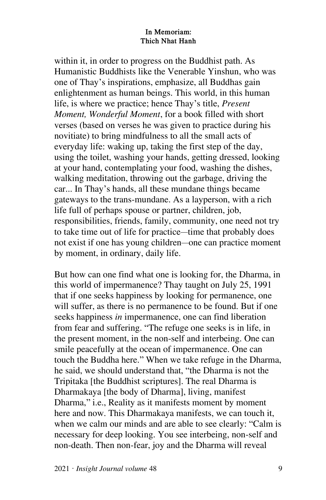within it, in order to progress on the Buddhist path. As Humanistic Buddhists like the Venerable Yinshun, who was one of Thay's inspirations, emphasize, all Buddhas gain enlightenment as human beings. This world, in this human life, is where we practice; hence Thay's title, *Present Moment, Wonderful Moment*, for a book filled with short verses (based on verses he was given to practice during his novitiate) to bring mindfulness to all the small acts of everyday life: waking up, taking the first step of the day, using the toilet, washing your hands, getting dressed, looking at your hand, contemplating your food, washing the dishes, walking meditation, throwing out the garbage, driving the car... In Thay's hands, all these mundane things became gateways to the trans-mundane. As a layperson, with a rich life full of perhaps spouse or partner, children, job, responsibilities, friends, family, community, one need not try to take time out of life for practice—time that probably does not exist if one has young children—one can practice moment by moment, in ordinary, daily life.

But how can one find what one is looking for, the Dharma, in this world of impermanence? Thay taught on July 25, 1991 that if one seeks happiness by looking for permanence, one will suffer, as there is no permanence to be found. But if one seeks happiness *in* impermanence, one can find liberation from fear and suffering. "The refuge one seeks is in life, in the present moment, in the non-self and interbeing. One can smile peacefully at the ocean of impermanence. One can touch the Buddha here." When we take refuge in the Dharma, he said, we should understand that, "the Dharma is not the Tripitaka [the Buddhist scriptures]. The real Dharma is Dharmakaya [the body of Dharma], living, manifest Dharma," i.e., Reality as it manifests moment by moment here and now. This Dharmakaya manifests, we can touch it, when we calm our minds and are able to see clearly: "Calm is necessary for deep looking. You see interbeing, non-self and non-death. Then non-fear, joy and the Dharma will reveal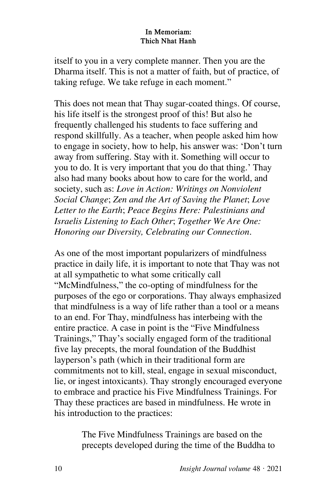itself to you in a very complete manner. Then you are the Dharma itself. This is not a matter of faith, but of practice, of taking refuge. We take refuge in each moment."

This does not mean that Thay sugar-coated things. Of course, his life itself is the strongest proof of this! But also he frequently challenged his students to face suffering and respond skillfully. As a teacher, when people asked him how to engage in society, how to help, his answer was: 'Don't turn away from suffering. Stay with it. Something will occur to you to do. It is very important that you do that thing.' Thay also had many books about how to care for the world, and society, such as: *Love in Action: Writings on Nonviolent Social Change*; *Zen and the Art of Saving the Planet*; *Love Letter to the Earth*; *Peace Begins Here: Palestinians and Israelis Listening to Each Other*; *Together We Are One: Honoring our Diversity, Celebrating our Connection*.

As one of the most important popularizers of mindfulness practice in daily life, it is important to note that Thay was not at all sympathetic to what some critically call "McMindfulness," the co-opting of mindfulness for the purposes of the ego or corporations. Thay always emphasized that mindfulness is a way of life rather than a tool or a means to an end. For Thay, mindfulness has interbeing with the entire practice. A case in point is the "Five Mindfulness Trainings," Thay's socially engaged form of the traditional five lay precepts, the moral foundation of the Buddhist layperson's path (which in their traditional form are commitments not to kill, steal, engage in sexual misconduct, lie, or ingest intoxicants). Thay strongly encouraged everyone to embrace and practice his Five Mindfulness Trainings. For Thay these practices are based in mindfulness. He wrote in his introduction to the practices:

> The Five Mindfulness Trainings are based on the precepts developed during the time of the Buddha to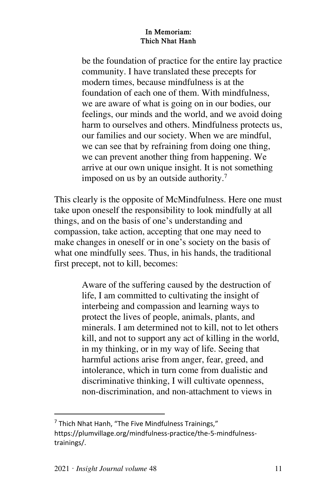be the foundation of practice for the entire lay practice community. I have translated these precepts for modern times, because mindfulness is at the foundation of each one of them. With mindfulness, we are aware of what is going on in our bodies, our feelings, our minds and the world, and we avoid doing harm to ourselves and others. Mindfulness protects us, our families and our society. When we are mindful, we can see that by refraining from doing one thing, we can prevent another thing from happening. We arrive at our own unique insight. It is not something imposed on us by an outside authority.<sup>7</sup>

This clearly is the opposite of McMindfulness. Here one must take upon oneself the responsibility to look mindfully at all things, and on the basis of one's understanding and compassion, take action, accepting that one may need to make changes in oneself or in one's society on the basis of what one mindfully sees. Thus, in his hands, the traditional first precept, not to kill, becomes:

> Aware of the suffering caused by the destruction of life, I am committed to cultivating the insight of interbeing and compassion and learning ways to protect the lives of people, animals, plants, and minerals. I am determined not to kill, not to let others kill, and not to support any act of killing in the world, in my thinking, or in my way of life. Seeing that harmful actions arise from anger, fear, greed, and intolerance, which in turn come from dualistic and discriminative thinking, I will cultivate openness, non-discrimination, and non-attachment to views in

<sup>&</sup>lt;sup>7</sup> Thich Nhat Hanh, "The Five Mindfulness Trainings," https://plumvillage.org/mindfulness-practice/the-5-mindfulnesstrainings/.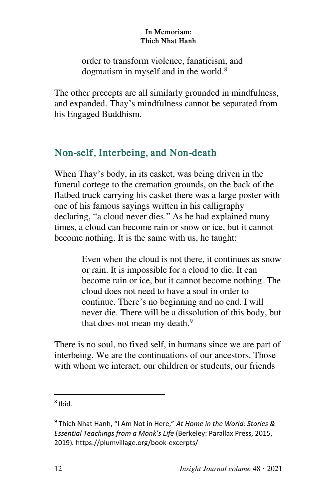order to transform violence, fanaticism, and dogmatism in myself and in the world.<sup>8</sup>

The other precepts are all similarly grounded in mindfulness, and expanded. Thay's mindfulness cannot be separated from his Engaged Buddhism.

### **Non-self, Interbeing, and Non-death**

When Thay's body, in its casket, was being driven in the funeral cortege to the cremation grounds, on the back of the flatbed truck carrying his casket there was a large poster with one of his famous sayings written in his calligraphy declaring, "a cloud never dies." As he had explained many times, a cloud can become rain or snow or ice, but it cannot become nothing. It is the same with us, he taught:

> Even when the cloud is not there, it continues as snow or rain. It is impossible for a cloud to die. It can become rain or ice, but it cannot become nothing. The cloud does not need to have a soul in order to continue. There's no beginning and no end. I will never die. There will be a dissolution of this body, but that does not mean my death.<sup>9</sup>

There is no soul, no fixed self, in humans since we are part of interbeing. We are the continuations of our ancestors. Those with whom we interact, our children or students, our friends

<sup>&</sup>lt;sup>8</sup> Ibid.

<sup>9</sup> Thich Nhat Hanh, "I Am Not in Here," *At Home in the World: Stories & Essential Teachings from a Monk's Life* (Berkeley: Parallax Press, 2015, 2019)*.* https://plumvillage.org/book-excerpts/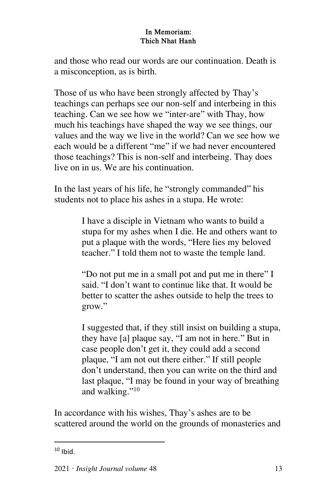and those who read our words are our continuation. Death is a misconception, as is birth.

Those of us who have been strongly affected by Thay's teachings can perhaps see our non-self and interbeing in this teaching. Can we see how we "inter-are" with Thay, how much his teachings have shaped the way we see things, our values and the way we live in the world? Can we see how we each would be a different "me" if we had never encountered those teachings? This is non-self and interbeing. Thay does live on in us. We are his continuation.

In the last years of his life, he "strongly commanded" his students not to place his ashes in a stupa. He wrote:

> I have a disciple in Vietnam who wants to build a stupa for my ashes when I die. He and others want to put a plaque with the words, "Here lies my beloved teacher." I told them not to waste the temple land.

"Do not put me in a small pot and put me in there" I said. "I don't want to continue like that. It would be better to scatter the ashes outside to help the trees to grow."

I suggested that, if they still insist on building a stupa, they have [a] plaque say, "I am not in here." But in case people don't get it, they could add a second plaque, "I am not out there either." If still people don't understand, then you can write on the third and last plaque, "I may be found in your way of breathing and walking."<sup>10</sup>

In accordance with his wishes, Thay's ashes are to be scattered around the world on the grounds of monasteries and

 $\overline{\phantom{a}}$ 

 $10$  Ibid.